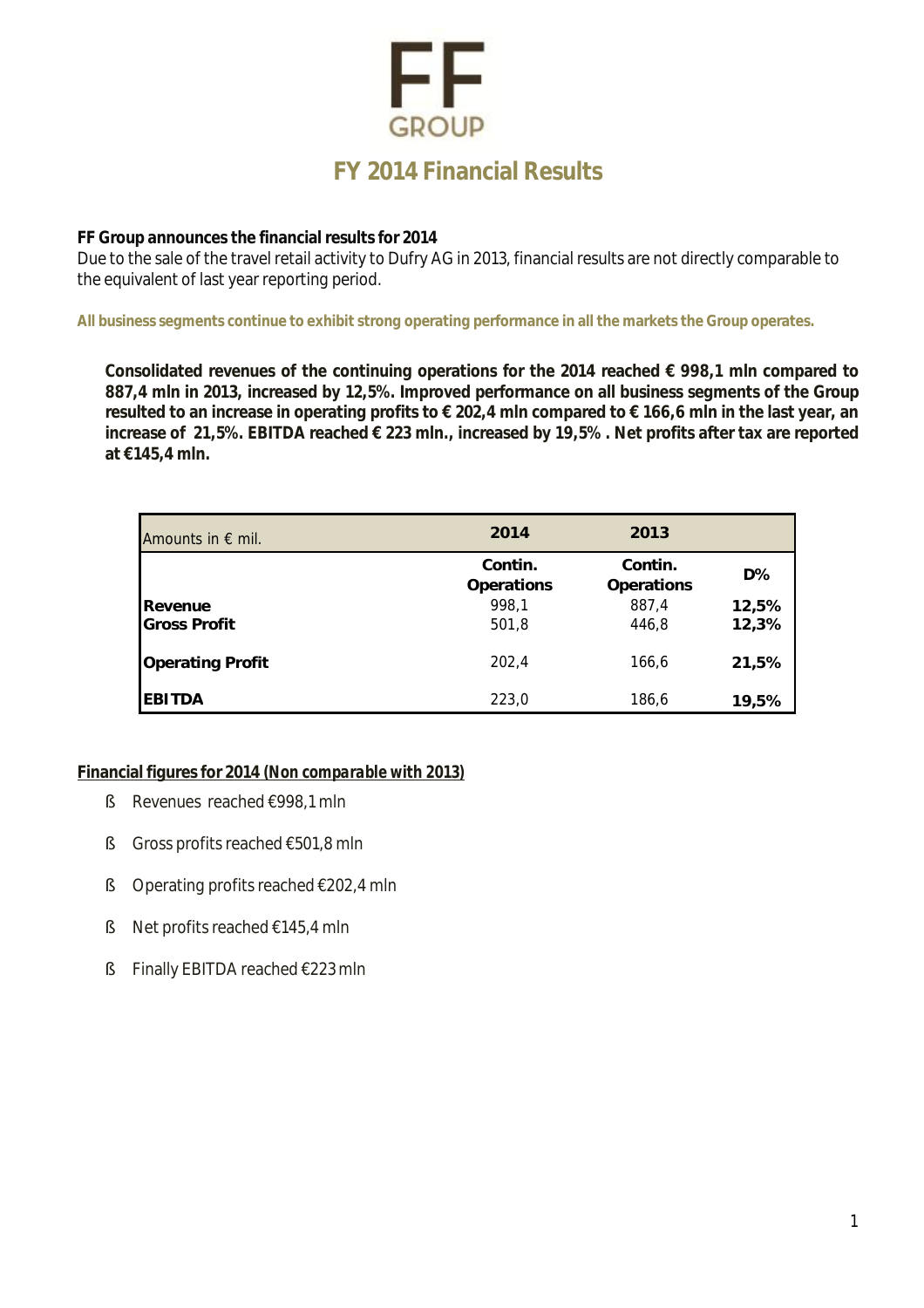## FF **GROUP FY 2014 Financial Results**

**FF Group announces the financial results for 2014** 

Due to the sale of the travel retail activity to Dufry AG in 2013, financial results are not directly comparable to the equivalent of last year reporting period.

**All business segments continue to exhibit strong operating performance in all the markets the Group operates.** 

**Consolidated revenues of the continuing operations for the 2014 reached € 998,1 mln compared to 887,4 mln in 2013, increased by 12,5%. Improved performance on all business segments of the Group**  resulted to an increase in operating profits to € 202,4 mln compared to € 166,6 mln in the last year, an **increase of 21,5%. EBITDA reached € 223 mln., increased by 19,5% . Net profits after tax are reported at €145,4 mln.** 

| Amounts in $\epsilon$ mil. | 2014                         | 2013                         |       |
|----------------------------|------------------------------|------------------------------|-------|
|                            | Contin.<br><b>Operations</b> | Contin.<br><b>Operations</b> | $D\%$ |
| Revenue                    | 998,1                        | 887,4                        | 12,5% |
| <b>Gross Profit</b>        | 501,8                        | 446,8                        | 12,3% |
| <b>Operating Profit</b>    | 202,4                        | 166,6                        | 21,5% |
| <b>EBITDA</b>              | 223,0                        | 186,6                        | 19,5% |

**Financial figures for 2014** *(Non comparable with 2013)* 

- § Revenues reached €998,1 mln
- § Gross profits reached €501,8 mln
- § Operating profits reached €202,4 mln
- § Net profits reached €145,4 mln
- § Finally EBITDA reached €223 mln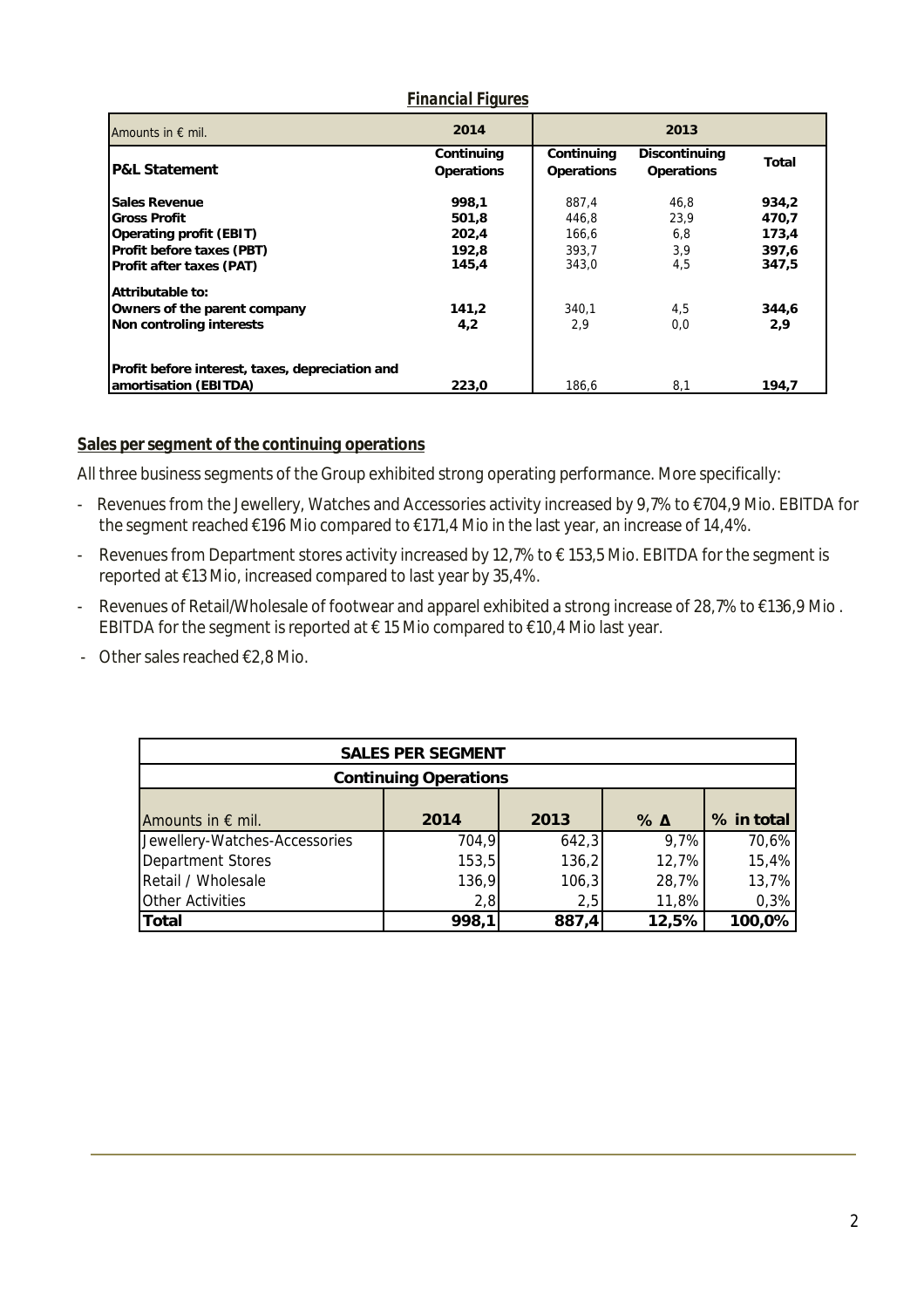| Amounts in $\epsilon$ mil.                      | 2014                     | 2013                            |                             |       |
|-------------------------------------------------|--------------------------|---------------------------------|-----------------------------|-------|
| <b>P&amp;L Statement</b>                        | Continuing<br>Operations | Continuing<br><b>Operations</b> | Discontinuing<br>Operations | Total |
| Sales Revenue                                   | 998.1                    | 887,4                           | 46.8                        | 934,2 |
| <b>Gross Profit</b>                             | 501.8                    | 446.8                           | 23.9                        | 470.7 |
| Operating profit (EBIT)                         | 202.4                    | 166,6                           | 6,8                         | 173,4 |
| Profit before taxes (PBT)                       | 192.8                    | 393.7                           | 3,9                         | 397,6 |
| Profit after taxes (PAT)                        | 145,4                    | 343,0                           | 4,5                         | 347,5 |
| Attributable to:                                |                          |                                 |                             |       |
| Owners of the parent company                    | 141,2                    | 340,1                           | 4,5                         | 344,6 |
| Non controling interests                        | 4,2                      | 2,9                             | 0.0                         | 2,9   |
| Profit before interest, taxes, depreciation and |                          |                                 |                             |       |
| amortisation (EBITDA)                           | 223.0                    | 186.6                           | 8,1                         | 194,7 |

## *Financial Figures*

## **Sales per segment of the continuing operations**

All three business segments of the Group exhibited strong operating performance. More specifically:

- Revenues from the Jewellery, Watches and Accessories activity increased by 9,7% to €704,9 Mio. EBITDA for the segment reached €196 Mio compared to €171,4 Mio in the last year, an increase of 14,4%.
- Revenues from Department stores activity increased by 12,7% to € 153,5 Mio. EBITDA for the segment is reported at €13 Mio, increased compared to last year by 35,4%.
- Revenues of Retail/Wholesale of footwear and apparel exhibited a strong increase of 28,7% to €136,9 Mio . EBITDA for the segment is reported at  $\epsilon$  15 Mio compared to  $\epsilon$ 10,4 Mio last year.
- Other sales reached €2,8 Mio.

| <b>SALES PER SEGMENT</b>      |       |       |               |            |  |  |
|-------------------------------|-------|-------|---------------|------------|--|--|
| <b>Continuing Operations</b>  |       |       |               |            |  |  |
|                               |       |       |               |            |  |  |
| Amounts in $\epsilon$ mil.    | 2014  | 2013  | $\%$ $\Delta$ | % in total |  |  |
| Jewellery-Watches-Accessories | 704,9 | 642,3 | 9,7%          | 70,6%      |  |  |
| Department Stores             | 153,5 | 136,2 | 12,7%         | 15,4%      |  |  |
| Retail / Wholesale            | 136,9 | 106,3 | 28,7%         | 13,7%      |  |  |
| <b>Other Activities</b>       | 2,8   | 2,5   | 11,8%         | 0,3%       |  |  |
| Total                         | 998,1 | 887,4 | 12,5%         | 100,0%     |  |  |